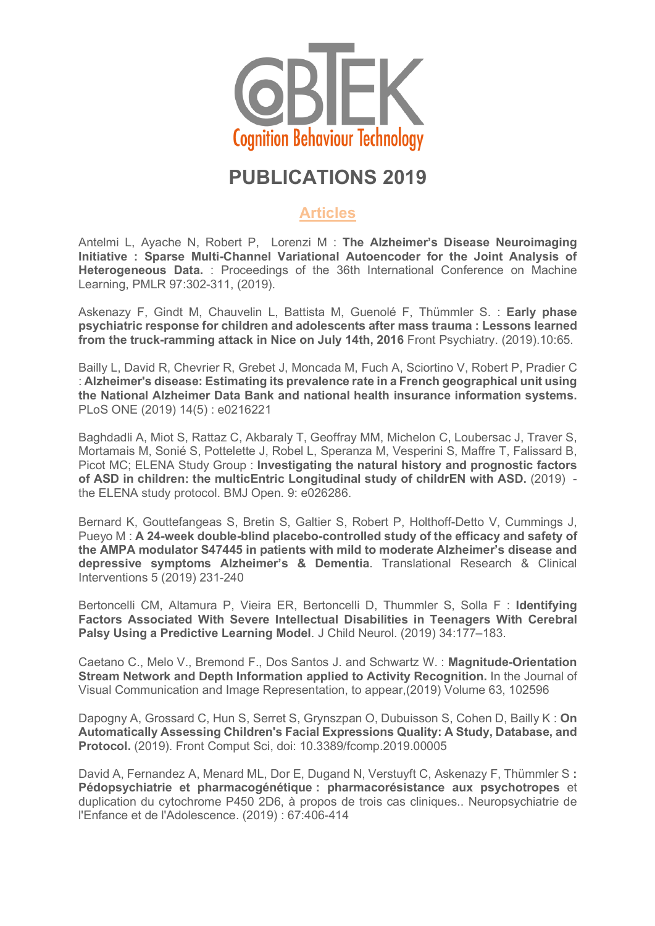

## **PUBLICATIONS 2019**

## **Articles**

Antelmi L, Ayache N, Robert P, Lorenzi M : **The Alzheimer's Disease Neuroimaging Initiative : Sparse Multi-Channel Variational Autoencoder for the Joint Analysis of Heterogeneous Data.** : Proceedings of the 36th International Conference on Machine Learning, PMLR 97:302-311, (2019).

Askenazy F, Gindt M, Chauvelin L, Battista M, Guenolé F, Thümmler S. : **Early phase psychiatric response for children and adolescents after mass trauma : Lessons learned from the truck-ramming attack in Nice on July 14th, 2016** Front Psychiatry. (2019).10:65.

Bailly L, David R, Chevrier R, Grebet J, Moncada M, Fuch A, Sciortino V, Robert P, Pradier C : **Alzheimer's disease: Estimating its prevalence rate in a French geographical unit using the National Alzheimer Data Bank and national health insurance information systems.** PLoS ONE (2019) 14(5) : e0216221

Baghdadli A, Miot S, Rattaz C, Akbaraly T, Geoffray MM, Michelon C, Loubersac J, Traver S, Mortamais M, Sonié S, Pottelette J, Robel L, Speranza M, Vesperini S, Maffre T, Falissard B, Picot MC; ELENA Study Group : **Investigating the natural history and prognostic factors of ASD in children: the multicEntric Longitudinal study of childrEN with ASD.** (2019) the ELENA study protocol. BMJ Open. 9: e026286.

Bernard K, Gouttefangeas S, Bretin S, Galtier S, Robert P, Holthoff-Detto V, Cummings J, Pueyo M : **A 24-week double-blind placebo-controlled study of the efficacy and safety of the AMPA modulator S47445 in patients with mild to moderate Alzheimer's disease and depressive symptoms Alzheimer's & Dementia**. Translational Research & Clinical Interventions 5 (2019) 231-240

Bertoncelli CM, Altamura P, Vieira ER, Bertoncelli D, Thummler S, Solla F : **Identifying Factors Associated With Severe Intellectual Disabilities in Teenagers With Cerebral Palsy Using a Predictive Learning Model**. J Child Neurol. (2019) 34:177–183.

Caetano C., Melo V., Bremond F., Dos Santos J. and Schwartz W. : **Magnitude-Orientation Stream Network and Depth Information applied to Activity Recognition.** In the Journal of Visual Communication and Image Representation, to appear,(2019) Volume 63, 102596

Dapogny A, Grossard C, Hun S, Serret S, Grynszpan O, Dubuisson S, Cohen D, Bailly K : **On Automatically Assessing Children's Facial Expressions Quality: A Study, Database, and Protocol.** (2019). Front Comput Sci, doi: 10.3389/fcomp.2019.00005

David A, Fernandez A, Menard ML, Dor E, Dugand N, Verstuyft C, Askenazy F, Thümmler S **: Pédopsychiatrie et pharmacogénétique : pharmacorésistance aux psychotropes** et duplication du cytochrome P450 2D6, à propos de trois cas cliniques.. Neuropsychiatrie de l'Enfance et de l'Adolescence. (2019) : 67:406-414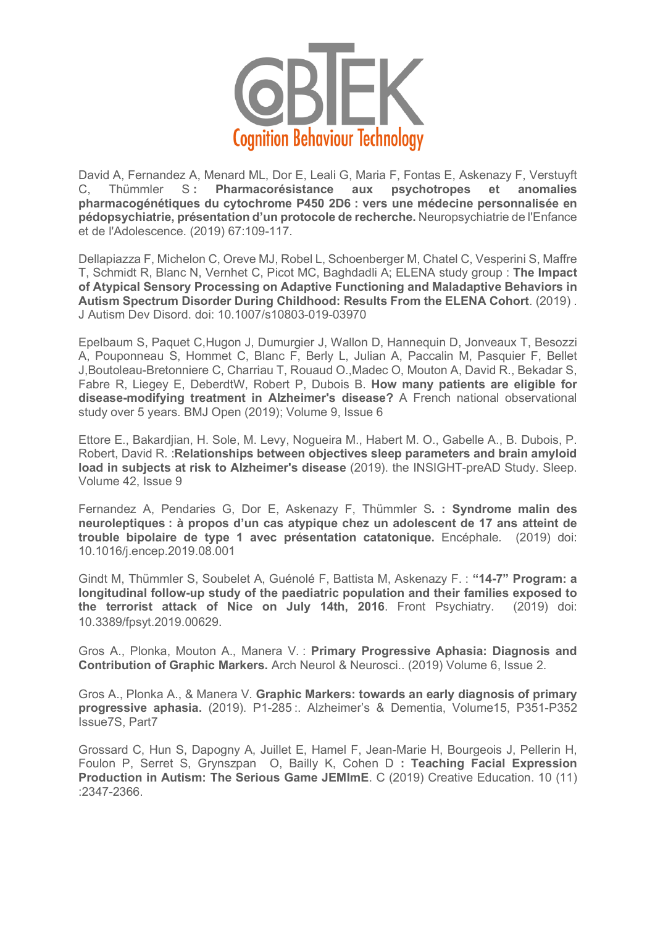

David A, Fernandez A, Menard ML, Dor E, Leali G, Maria F, Fontas E, Askenazy F, Verstuyft C. Thümmler S: Pharmacorésistance aux psychotropes et anomalies **pharmacogénétiques du cytochrome P450 2D6 : vers une médecine personnalisée en pédopsychiatrie, présentation d'un protocole de recherche.** Neuropsychiatrie de l'Enfance et de l'Adolescence. (2019) 67:109-117.

Dellapiazza F, Michelon C, Oreve MJ, Robel L, Schoenberger M, Chatel C, Vesperini S, Maffre T, Schmidt R, Blanc N, Vernhet C, Picot MC, Baghdadli A; ELENA study group : **The Impact of Atypical Sensory Processing on Adaptive Functioning and Maladaptive Behaviors in Autism Spectrum Disorder During Childhood: Results From the ELENA Cohort**. (2019) . J Autism Dev Disord. doi: 10.1007/s10803-019-03970

Epelbaum S, Paquet C,Hugon J, Dumurgier J, Wallon D, Hannequin D, Jonveaux T, Besozzi A, Pouponneau S, Hommet C, Blanc F, Berly L, Julian A, Paccalin M, Pasquier F, Bellet J,Boutoleau-Bretonniere C, Charriau T, Rouaud O.,Madec O, Mouton A, David R., Bekadar S, Fabre R, Liegey E, DeberdtW, Robert P, Dubois B. **How many patients are eligible for disease-modifying treatment in Alzheimer's disease?** A French national observational study over 5 years. BMJ Open (2019); Volume 9, Issue 6

Ettore E., Bakardjian, H. Sole, M. Levy, Nogueira M., Habert M. O., Gabelle A., B. Dubois, P. Robert, David R. :**Relationships between objectives sleep parameters and brain amyloid load in subjects at risk to Alzheimer's disease** (2019). the INSIGHT-preAD Study. Sleep. Volume 42, Issue 9

Fernandez A, Pendaries G, Dor E, Askenazy F, Thümmler S**. : Syndrome malin des neuroleptiques : à propos d'un cas atypique chez un adolescent de 17 ans atteint de trouble bipolaire de type 1 avec présentation catatonique.** Encéphale*.* (2019) doi: 10.1016/j.encep.2019.08.001

Gindt M, Thümmler S, Soubelet A, Guénolé F, Battista M, Askenazy F. : **"14-7" Program: a longitudinal follow-up study of the paediatric population and their families exposed to the terrorist attack of Nice on July 14th, 2016**. Front Psychiatry. (2019) doi: 10.3389/fpsyt.2019.00629.

Gros A., Plonka, Mouton A., Manera V. : **Primary Progressive Aphasia: Diagnosis and Contribution of Graphic Markers.** Arch Neurol & Neurosci.. (2019) Volume 6, Issue 2.

Gros A., Plonka A., & Manera V. **Graphic Markers: towards an early diagnosis of primary progressive aphasia.** (2019). P1-285 :. Alzheimer's & Dementia, Volume15, P351-P352 Issue7S, Part7

Grossard C, Hun S, Dapogny A, Juillet E, Hamel F, Jean-Marie H, Bourgeois J, Pellerin H, Foulon P, Serret S, Grynszpan O, Bailly K, Cohen D **: Teaching Facial Expression Production in Autism: The Serious Game JEMImE**. C (2019) Creative Education. 10 (11) :2347-2366.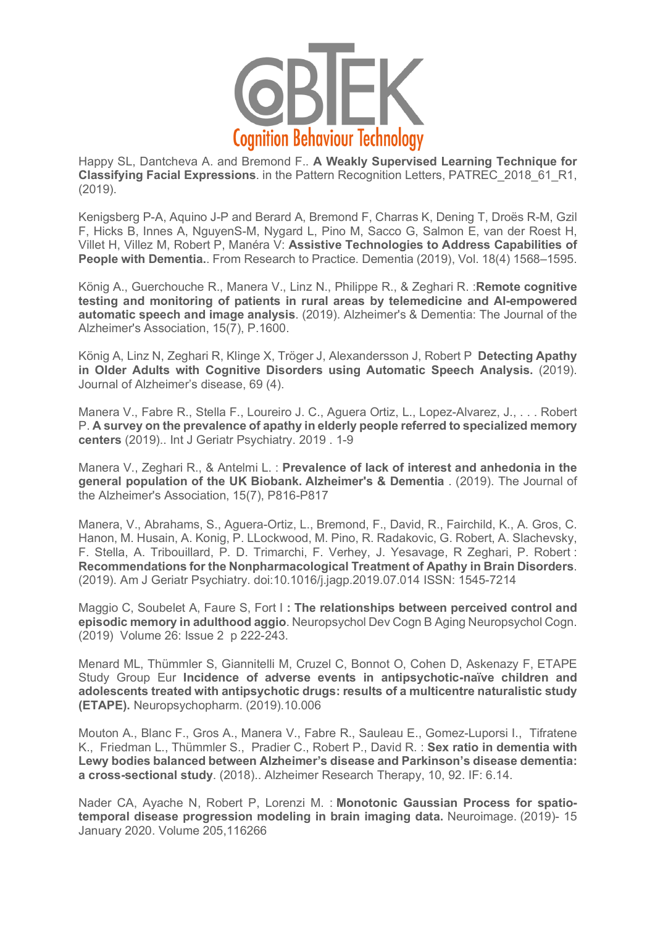

Happy SL, Dantcheva A. and Bremond F.. **A Weakly Supervised Learning Technique for Classifying Facial Expressions**. in the Pattern Recognition Letters, PATREC\_2018\_61\_R1, (2019).

Kenigsberg P-A, Aquino J-P and Berard A, Bremond F, Charras K, Dening T, Droës R-M, Gzil F, Hicks B, Innes A, NguyenS-M, Nygard L, Pino M, Sacco G, Salmon E, van der Roest H, Villet H, Villez M, Robert P, Manéra V: **Assistive Technologies to Address Capabilities of People with Dementia.**. From Research to Practice. Dementia (2019), Vol. 18(4) 1568–1595.

König A., Guerchouche R., Manera V., Linz N., Philippe R., & Zeghari R. :**Remote cognitive testing and monitoring of patients in rural areas by telemedicine and AI-empowered automatic speech and image analysis**. (2019). Alzheimer's & Dementia: The Journal of the Alzheimer's Association, 15(7), P.1600.

König A, Linz N, Zeghari R, Klinge X, Tröger J, Alexandersson J, Robert P **Detecting Apathy in Older Adults with Cognitive Disorders using Automatic Speech Analysis.** (2019). Journal of Alzheimer's disease, 69 (4).

Manera V., Fabre R., Stella F., Loureiro J. C., Aguera Ortiz, L., Lopez-Alvarez, J., . . . Robert P. **A survey on the prevalence of apathy in elderly people referred to specialized memory centers** (2019).. Int J Geriatr Psychiatry. 2019 . 1-9

Manera V., Zeghari R., & Antelmi L. : **Prevalence of lack of interest and anhedonia in the general population of the UK Biobank. Alzheimer's & Dementia** . (2019). The Journal of the Alzheimer's Association, 15(7), P816-P817

Manera, V., Abrahams, S., Aguera-Ortiz, L., Bremond, F., David, R., Fairchild, K., A. Gros, C. Hanon, M. Husain, A. Konig, P. LLockwood, M. Pino, R. Radakovic, G. Robert, A. Slachevsky, F. Stella, A. Tribouillard, P. D. Trimarchi, F. Verhey, J. Yesavage, R Zeghari, P. Robert : **Recommendations for the Nonpharmacological Treatment of Apathy in Brain Disorders**. (2019). Am J Geriatr Psychiatry. doi:10.1016/j.jagp.2019.07.014 ISSN: 1545-7214

Maggio C, Soubelet A, Faure S, Fort I **: The relationships between perceived control and episodic memory in adulthood aggio**. Neuropsychol Dev Cogn B Aging Neuropsychol Cogn. (2019) Volume 26: Issue 2 p 222-243.

Menard ML, Thümmler S, Giannitelli M, Cruzel C, Bonnot O, Cohen D, Askenazy F, ETAPE Study Group Eur **Incidence of adverse events in antipsychotic-naïve children and adolescents treated with antipsychotic drugs: results of a multicentre naturalistic study (ETAPE).** Neuropsychopharm. (2019).10.006

Mouton A., Blanc F., Gros A., Manera V., Fabre R., Sauleau E., Gomez-Luporsi I., Tifratene K., Friedman L., Thümmler S., Pradier C., Robert P., David R. : **Sex ratio in dementia with Lewy bodies balanced between Alzheimer's disease and Parkinson's disease dementia: a cross-sectional study**. (2018).. Alzheimer Research Therapy, 10, 92. IF: 6.14.

Nader CA, Ayache N, Robert P, Lorenzi M. : **Monotonic Gaussian Process for spatiotemporal disease progression modeling in brain imaging data.** Neuroimage. (2019)- 15 January 2020. Volume 205,116266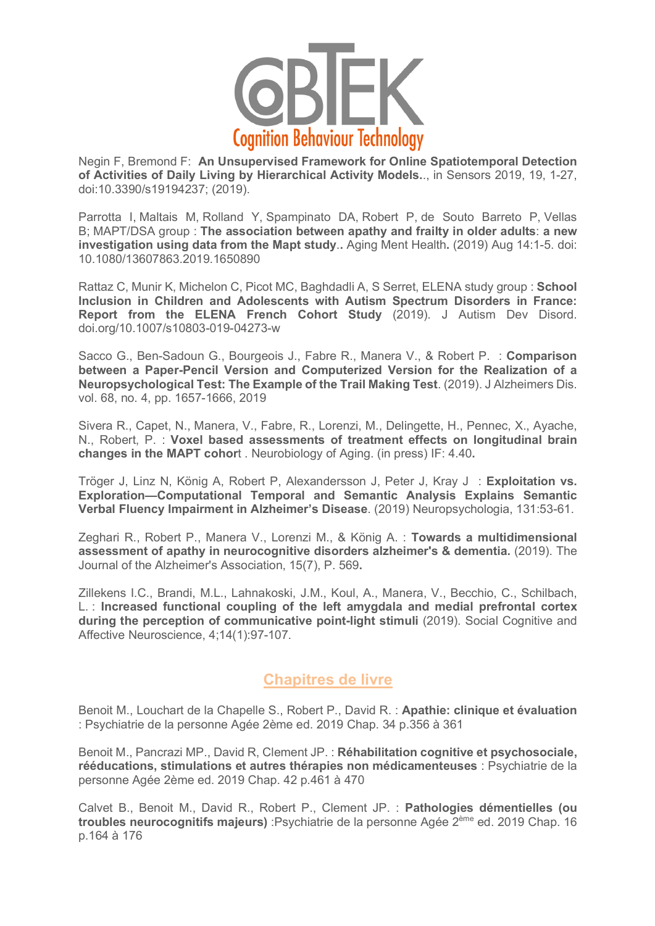

Negin F, Bremond F: **An Unsupervised Framework for Online Spatiotemporal Detection of Activities of Daily Living by Hierarchical Activity Models.**., in Sensors 2019, 19, 1-27, doi:10.3390/s19194237; (2019).

Parrotta I, Maltais M, Rolland Y, Spampinato DA, Robert P, de Souto Barreto P, Vellas B; MAPT/DSA group : **The association between apathy and frailty in older adults**: **a new investigation using data from the Mapt study**.**.** Aging Ment Health**.** (2019) Aug 14:1-5. doi: 10.1080/13607863.2019.1650890

Rattaz C, Munir K, Michelon C, Picot MC, Baghdadli A, S Serret, ELENA study group : **School Inclusion in Children and Adolescents with Autism Spectrum Disorders in France: Report from the ELENA French Cohort Study** (2019). J Autism Dev Disord. doi.org/10.1007/s10803-019-04273-w

Sacco G., Ben-Sadoun G., Bourgeois J., Fabre R., Manera V., & Robert P. : **Comparison between a Paper-Pencil Version and Computerized Version for the Realization of a Neuropsychological Test: The Example of the Trail Making Test**. (2019). J Alzheimers Dis. vol. 68, no. 4, pp. 1657-1666, 2019

Sivera R., Capet, N., Manera, V., Fabre, R., Lorenzi, M., Delingette, H., Pennec, X., Ayache, N., Robert, P. : **Voxel based assessments of treatment effects on longitudinal brain changes in the MAPT cohor**t . Neurobiology of Aging. (in press) IF: 4.40**.**

Tröger J, Linz N, König A, Robert P, Alexandersson J, Peter J, Kray J : **Exploitation vs. Exploration—Computational Temporal and Semantic Analysis Explains Semantic Verbal Fluency Impairment in Alzheimer's Disease**. (2019) Neuropsychologia, 131:53-61.

Zeghari R., Robert P., Manera V., Lorenzi M., & König A. : **Towards a multidimensional assessment of apathy in neurocognitive disorders alzheimer's & dementia.** (2019). The Journal of the Alzheimer's Association, 15(7), P. 569**.**

Zillekens I.C., Brandi, M.L., Lahnakoski, J.M., Koul, A., Manera, V., Becchio, C., Schilbach, L. : **Increased functional coupling of the left amygdala and medial prefrontal cortex during the perception of communicative point-light stimuli** (2019). Social Cognitive and Affective Neuroscience, 4;14(1):97-107.

## **Chapitres de livre**

Benoit M., Louchart de la Chapelle S., Robert P., David R. : **Apathie: clinique et évaluation** : Psychiatrie de la personne Agée 2ème ed. 2019 Chap. 34 p.356 à 361

Benoit M., Pancrazi MP., David R, Clement JP. : **Réhabilitation cognitive et psychosociale, rééducations, stimulations et autres thérapies non médicamenteuses** : Psychiatrie de la personne Agée 2ème ed. 2019 Chap. 42 p.461 à 470

Calvet B., Benoit M., David R., Robert P., Clement JP. : **Pathologies démentielles (ou troubles neurocognitifs majeurs)** :Psychiatrie de la personne Agée 2ème ed. 2019 Chap. 16 p.164 à 176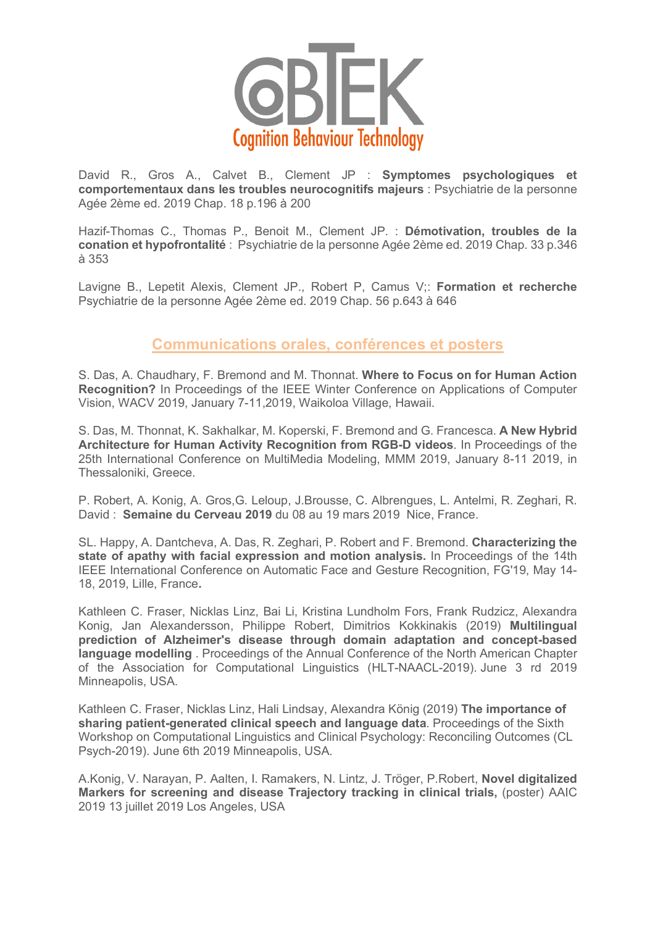

David R., Gros A., Calvet B., Clement JP : **Symptomes psychologiques et comportementaux dans les troubles neurocognitifs majeurs** : Psychiatrie de la personne Agée 2ème ed. 2019 Chap. 18 p.196 à 200

Hazif-Thomas C., Thomas P., Benoit M., Clement JP. : **Démotivation, troubles de la conation et hypofrontalité** : Psychiatrie de la personne Agée 2ème ed. 2019 Chap. 33 p.346 à 353

Lavigne B., Lepetit Alexis, Clement JP., Robert P, Camus V;: **Formation et recherche**  Psychiatrie de la personne Agée 2ème ed. 2019 Chap. 56 p.643 à 646

## **Communications orales, conférences et posters**

S. Das, A. Chaudhary, F. Bremond and M. Thonnat. **Where to Focus on for Human Action Recognition?** In Proceedings of the IEEE Winter Conference on Applications of Computer Vision, WACV 2019, January 7-11,2019, Waikoloa Village, Hawaii.

S. Das, M. Thonnat, K. Sakhalkar, M. Koperski, F. Bremond and G. Francesca. **A New Hybrid Architecture for Human Activity Recognition from RGB-D videos**. In Proceedings of the 25th International Conference on MultiMedia Modeling, MMM 2019, January 8-11 2019, in Thessaloniki, Greece.

P. Robert, A. Konig, A. Gros,G. Leloup, J.Brousse, C. Albrengues, L. Antelmi, R. Zeghari, R. David : **Semaine du Cerveau 2019** du 08 au 19 mars 2019 Nice, France.

SL. Happy, A. Dantcheva, A. Das, R. Zeghari, P. Robert and F. Bremond. **Characterizing the state of apathy with facial expression and motion analysis.** In Proceedings of the 14th IEEE International Conference on Automatic Face and Gesture Recognition, FG'19, May 14- 18, 2019, Lille, France**.**

Kathleen C. Fraser, Nicklas Linz, Bai Li, Kristina Lundholm Fors, Frank Rudzicz, Alexandra Konig, Jan Alexandersson, Philippe Robert, Dimitrios Kokkinakis (2019) **Multilingual prediction of Alzheimer's disease through domain adaptation and concept-based language modelling** . Proceedings of the Annual Conference of the North American Chapter of the Association for Computational Linguistics (HLT-NAACL-2019). June 3 rd 2019 Minneapolis, USA.

Kathleen C. Fraser, Nicklas Linz, Hali Lindsay, Alexandra König (2019) **The importance of sharing patient-generated clinical speech and language data**. Proceedings of the Sixth Workshop on Computational Linguistics and Clinical Psychology: Reconciling Outcomes (CL Psych-2019). June 6th 2019 Minneapolis, USA.

A.Konig, V. Narayan, P. Aalten, I. Ramakers, N. Lintz, J. Tröger, P.Robert, **Novel digitalized Markers for screening and disease Trajectory tracking in clinical trials,** (poster) AAIC 2019 13 juillet 2019 Los Angeles, USA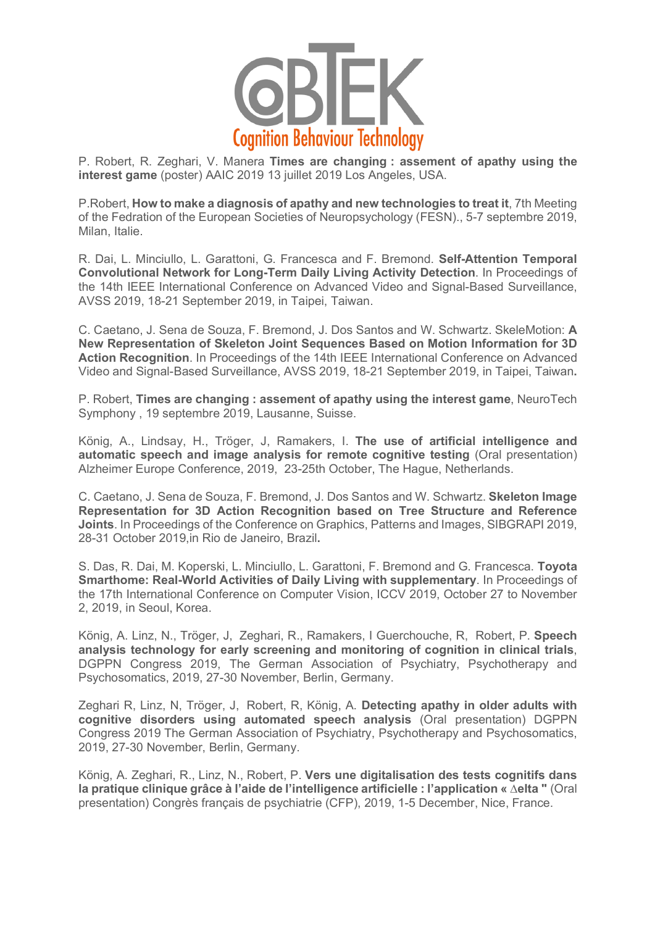

P. Robert, R. Zeghari, V. Manera **Times are changing : assement of apathy using the interest game** (poster) AAIC 2019 13 juillet 2019 Los Angeles, USA.

P.Robert, **How to make a diagnosis of apathy and new technologies to treat it**, 7th Meeting of the Fedration of the European Societies of Neuropsychology (FESN)., 5-7 septembre 2019, Milan, Italie.

R. Dai, L. Minciullo, L. Garattoni, G. Francesca and F. Bremond. **Self-Attention Temporal Convolutional Network for Long-Term Daily Living Activity Detection**. In Proceedings of the 14th IEEE International Conference on Advanced Video and Signal-Based Surveillance, AVSS 2019, 18-21 September 2019, in Taipei, Taiwan.

C. Caetano, J. Sena de Souza, F. Bremond, J. Dos Santos and W. Schwartz. SkeleMotion: **A New Representation of Skeleton Joint Sequences Based on Motion Information for 3D Action Recognition**. In Proceedings of the 14th IEEE International Conference on Advanced Video and Signal-Based Surveillance, AVSS 2019, 18-21 September 2019, in Taipei, Taiwan**.** 

P. Robert, **Times are changing : assement of apathy using the interest game**, NeuroTech Symphony , 19 septembre 2019, Lausanne, Suisse.

König, A., Lindsay, H., Tröger, J, Ramakers, I. **The use of artificial intelligence and automatic speech and image analysis for remote cognitive testing** (Oral presentation) Alzheimer Europe Conference, 2019, 23-25th October, The Hague, Netherlands.

C. Caetano, J. Sena de Souza, F. Bremond, J. Dos Santos and W. Schwartz. **Skeleton Image Representation for 3D Action Recognition based on Tree Structure and Reference Joints**. In Proceedings of the Conference on Graphics, Patterns and Images, SIBGRAPI 2019, 28-31 October 2019,in Rio de Janeiro, Brazil**.**

S. Das, R. Dai, M. Koperski, L. Minciullo, L. Garattoni, F. Bremond and G. Francesca. **Toyota Smarthome: Real-World Activities of Daily Living with supplementary**. In Proceedings of the 17th International Conference on Computer Vision, ICCV 2019, October 27 to November 2, 2019, in Seoul, Korea.

König, A. Linz, N., Tröger, J, Zeghari, R., Ramakers, I Guerchouche, R, Robert, P. **Speech analysis technology for early screening and monitoring of cognition in clinical trials**, DGPPN Congress 2019, The German Association of Psychiatry, Psychotherapy and Psychosomatics, 2019, 27-30 November, Berlin, Germany.

Zeghari R, Linz, N, Tröger, J, Robert, R, König, A. **Detecting apathy in older adults with cognitive disorders using automated speech analysis** (Oral presentation) DGPPN Congress 2019 The German Association of Psychiatry, Psychotherapy and Psychosomatics, 2019, 27-30 November, Berlin, Germany.

König, A. Zeghari, R., Linz, N., Robert, P. **Vers une digitalisation des tests cognitifs dans la pratique clinique grâce à l'aide de l'intelligence artificielle : l'application « ∆elta "** (Oral presentation) Congrès français de psychiatrie (CFP), 2019, 1-5 December, Nice, France.